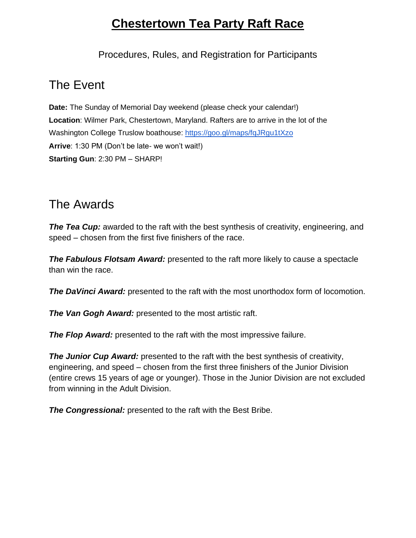# **Chestertown Tea Party Raft Race**

Procedures, Rules, and Registration for Participants

### The Event

**Date:** The Sunday of Memorial Day weekend (please check your calendar!) **Location**: Wilmer Park, Chestertown, Maryland. Rafters are to arrive in the lot of the Washington College Truslow boathouse:<https://goo.gl/maps/fqJRgu1tXzo> **Arrive**: 1:30 PM (Don't be late- we won't wait!) **Starting Gun**: 2:30 PM – SHARP!

### The Awards

*The Tea Cup:* awarded to the raft with the best synthesis of creativity, engineering, and speed – chosen from the first five finishers of the race.

*The Fabulous Flotsam Award:* presented to the raft more likely to cause a spectacle than win the race.

**The DaVinci Award:** presented to the raft with the most unorthodox form of locomotion.

*The Van Gogh Award:* presented to the most artistic raft.

*The Flop Award:* presented to the raft with the most impressive failure.

*The Junior Cup Award:* presented to the raft with the best synthesis of creativity, engineering, and speed – chosen from the first three finishers of the Junior Division (entire crews 15 years of age or younger). Those in the Junior Division are not excluded from winning in the Adult Division.

*The Congressional:* presented to the raft with the Best Bribe.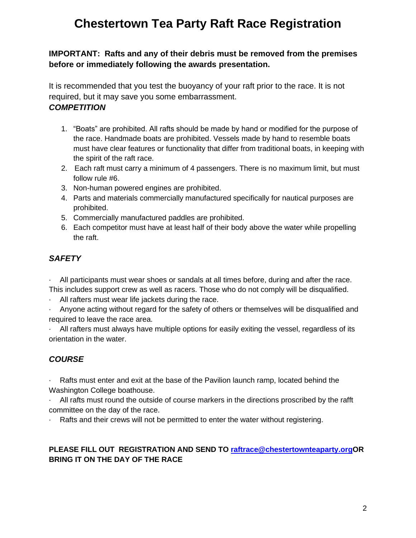# **Chestertown Tea Party Raft Race Registration**

#### **IMPORTANT: Rafts and any of their debris must be removed from the premises before or immediately following the awards presentation.**

It is recommended that you test the buoyancy of your raft prior to the race. It is not required, but it may save you some embarrassment.

#### *COMPETITION*

- 1. "Boats" are prohibited. All rafts should be made by hand or modified for the purpose of the race. Handmade boats are prohibited. Vessels made by hand to resemble boats must have clear features or functionality that differ from traditional boats, in keeping with the spirit of the raft race.
- 2. Each raft must carry a minimum of 4 passengers. There is no maximum limit, but must follow rule #6.
- 3. Non-human powered engines are prohibited.
- 4. Parts and materials commercially manufactured specifically for nautical purposes are prohibited.
- 5. Commercially manufactured paddles are prohibited.
- 6. Each competitor must have at least half of their body above the water while propelling the raft.

#### *SAFETY*

All participants must wear shoes or sandals at all times before, during and after the race.

- This includes support crew as well as racers. Those who do not comply will be disqualified.
- · All rafters must wear life jackets during the race.

Anyone acting without regard for the safety of others or themselves will be disqualified and required to leave the race area.

All rafters must always have multiple options for easily exiting the vessel, regardless of its orientation in the water.

### *COURSE*

Rafts must enter and exit at the base of the Pavilion launch ramp, located behind the Washington College boathouse.

· All rafts must round the outside of course markers in the directions proscribed by the rafft committee on the day of the race.

Rafts and their crews will not be permitted to enter the water without registering.

#### **PLEASE FILL OUT REGISTRATION AND SEND TO [raftrace@chestertownteaparty.orgO](mailto:raftrace@chestertownteaparty.org)R BRING IT ON THE DAY OF THE RACE**